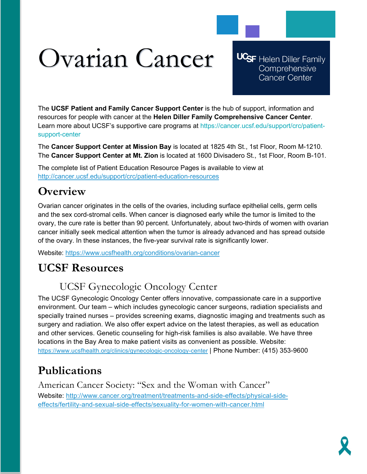# Ovarian Cancer

**UCSF** Helen Diller Family Comprehensive **Cancer Center** 

The **UCSF Patient and Family Cancer Support Center** is the hub of support, information and resources for people with cancer at the **Helen Diller Family Comprehensive Cancer Center**. Learn more about UCSF's supportive care programs at https://cancer.ucsf.edu/support/crc/patientsupport-center

The **Cancer Support Center at Mission Bay** is located at 1825 4th St., 1st Floor, Room M-1210. The **Cancer Support Center at Mt. Zion** is located at 1600 Divisadero St., 1st Floor, Room B-101.

The complete list of Patient Education Resource Pages is available to view at <http://cancer.ucsf.edu/support/crc/patient-education-resources>

# **Overview**

Ovarian cancer originates in the cells of the ovaries, including surface epithelial cells, germ cells and the sex cord-stromal cells. When cancer is diagnosed early while the tumor is limited to the ovary, the cure rate is better than 90 percent. Unfortunately, about two-thirds of women with ovarian cancer initially seek medical attention when the tumor is already advanced and has spread outside of the ovary. In these instances, the five-year survival rate is significantly lower.

Website:<https://www.ucsfhealth.org/conditions/ovarian-cancer>

# **UCSF Resources**

## UCSF Gynecologic Oncology Center

The UCSF Gynecologic Oncology Center offers innovative, compassionate care in a supportive environment. Our team – which includes gynecologic cancer surgeons, radiation specialists and specially trained nurses – provides screening exams, diagnostic imaging and treatments such as surgery and radiation. We also offer expert advice on the latest therapies, as well as education and other services. Genetic counseling for high-risk families is also available. We have three locations in the Bay Area to make patient visits as convenient as possible. Website: <https://www.ucsfhealth.org/clinics/gynecologic-oncology-center> | Phone Number: (415) 353-9600

# **Publications**

American Cancer Society: "Sex and the Woman with Cancer" Website: [http://www.cancer.org/treatment/treatments-and-side-effects/physical-side](http://www.cancer.org/treatment/treatments-and-side-effects/physical-side-effects/fertility-and-sexual-side-effects/sexuality-for-women-with-cancer.html)[effects/fertility-and-sexual-side-effects/sexuality-for-women-with-cancer.html](http://www.cancer.org/treatment/treatments-and-side-effects/physical-side-effects/fertility-and-sexual-side-effects/sexuality-for-women-with-cancer.html)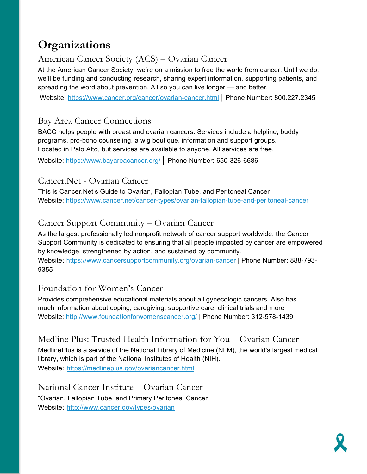# **Organizations**

## American Cancer Society (ACS) – Ovarian Cancer

At the American Cancer Society, we're on a mission to free the world from cancer. Until we do, we'll be funding and conducting research, sharing expert information, supporting patients, and spreading the word about prevention. All so you can live longer — and better.

Website: <https://www.cancer.org/cancer/ovarian-cancer.html> | Phone Number: 800.227.2345

#### Bay Area Cancer Connections

BACC helps people with breast and ovarian cancers. Services include a helpline, buddy programs, pro-bono counseling, a wig boutique, information and support groups. Located in Palo Alto, but services are available to anyone. All services are free.

Website:<https://www.bayareacancer.org/> | Phone Number: 650-326-6686

#### Cancer.Net - Ovarian Cancer

This is Cancer.Net's Guide to Ovarian, Fallopian Tube, and Peritoneal Cancer Website:<https://www.cancer.net/cancer-types/ovarian-fallopian-tube-and-peritoneal-cancer>

## Cancer Support Community – Ovarian Cancer

As the largest professionally led nonprofit network of cancer support worldwide, the Cancer Support Community is dedicated to ensuring that all people impacted by cancer are empowered by knowledge, strengthened by action, and sustained by community. Website:<https://www.cancersupportcommunity.org/ovarian-cancer> | Phone Number: 888-793- 9355

### Foundation for Women's Cancer

Provides comprehensive educational materials about all gynecologic cancers. Also has much information about coping, caregiving, supportive care, clinical trials and more Website:<http://www.foundationforwomenscancer.org/> | Phone Number: 312-578-1439

Medline Plus: Trusted Health Information for You – Ovarian Cancer MedlinePlus is a service of the National Library of Medicine (NLM), the world's largest medical library, which is part of the National Institutes of Health (NIH). Website: <https://medlineplus.gov/ovariancancer.html>

National Cancer Institute – Ovarian Cancer "Ovarian, Fallopian Tube, and Primary Peritoneal Cancer" Website: <http://www.cancer.gov/types/ovarian>